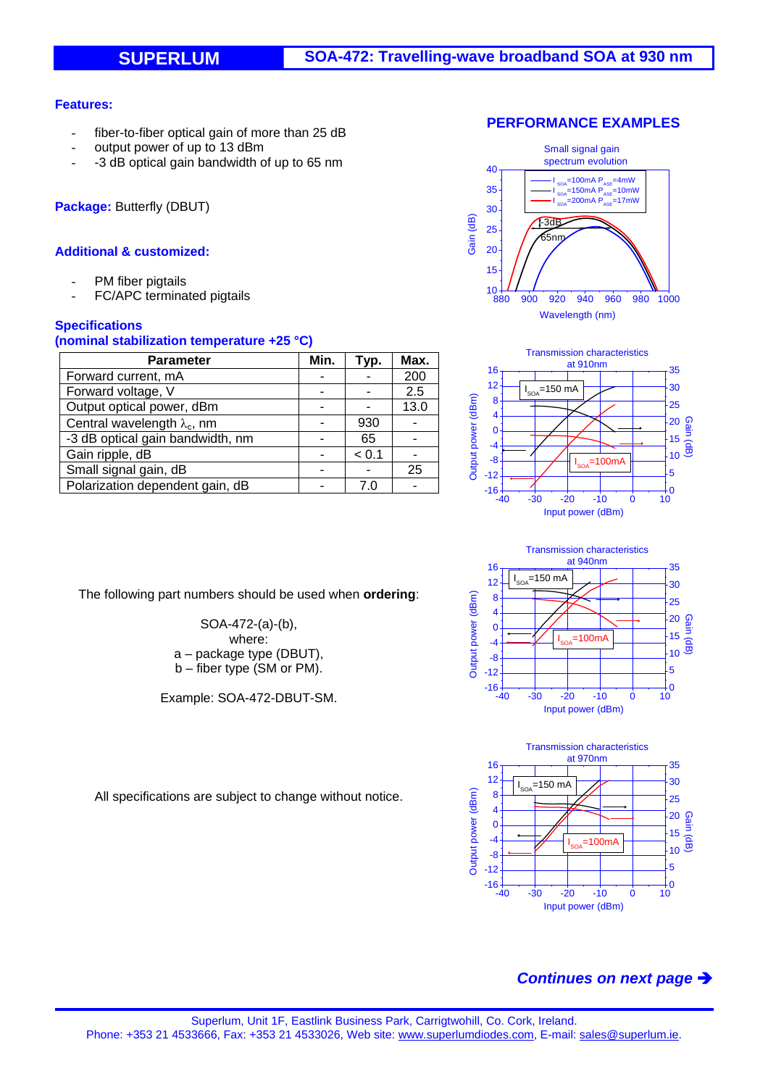### **Features:**

- fiber-to-fiber optical gain of more than 25 dB
- output power of up to 13 dBm
- -3 dB optical gain bandwidth of up to 65 nm

**Package:** Butterfly (DBUT)

### **Additional & customized:**

- PM fiber pigtails
- FC/APC terminated pigtails

### **Specifications**

#### **(nominal stabilization temperature +25 °C)**

| <b>Parameter</b>                    | Min. | Typ.  | Max. |
|-------------------------------------|------|-------|------|
| Forward current, mA                 |      |       | 200  |
| Forward voltage, V                  |      |       | 2.5  |
| Output optical power, dBm           |      |       | 13.0 |
| Central wavelength $\lambda_c$ , nm |      | 930   |      |
| -3 dB optical gain bandwidth, nm    |      | 65    |      |
| Gain ripple, dB                     |      | < 0.1 |      |
| Small signal gain, dB               |      |       | 25   |
| Polarization dependent gain, dB     |      |       |      |

The following part numbers should be used when **ordering**:

SOA-472-(a)-(b), where: a – package type (DBUT), b – fiber type (SM or PM).

Example: SOA-472-DBUT-SM.





Transmission characteristics at 940nm 16 35  $=150$  mA I 12 30 Output power (dBm) 8 Output power (dBm) 25 4 Gain (dB) 20 0 15  $=100m<sup>2</sup>$ -4 I 10 -8 5 -12  $-16 +$ <br> $-40$  $\frac{1}{10}$ -40 -30 -20 -10 0 10 Input power (dBm)



All specifications are subject to change without notice.

# *Continues on next page*

#### **PERFORMANCE EXAMPLES**